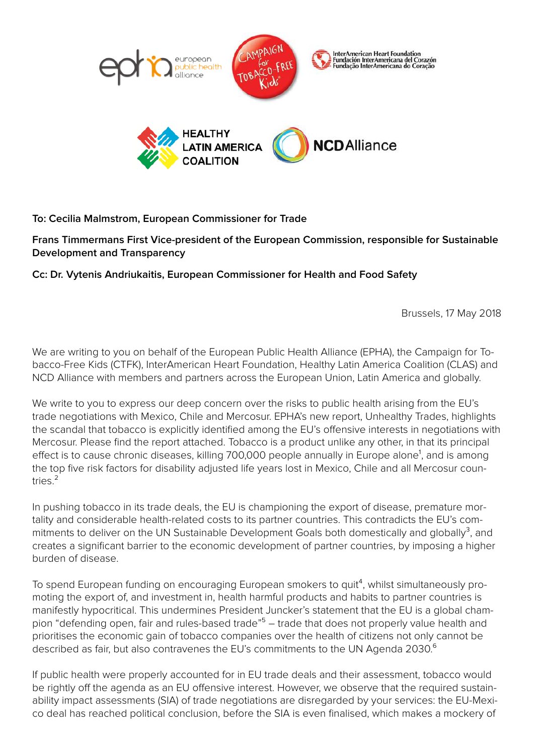

## **To: Cecilia Malmstrom, European Commissioner for Trade**

**Frans Timmermans First Vice-president of the European Commission, responsible for Sustainable Development and Transparency**

**Cc: Dr. Vytenis Andriukaitis, European Commissioner for Health and Food Safety**

Brussels, 17 May 2018

We are writing to you on behalf of the European Public Health Alliance (EPHA), the Campaign for Tobacco-Free Kids (CTFK), InterAmerican Heart Foundation, Healthy Latin America Coalition (CLAS) and NCD Alliance with members and partners across the European Union, Latin America and globally.

We write to you to express our deep concern over the risks to public health arising from the EU's trade negotiations with Mexico, Chile and Mercosur. EPHA's new report, Unhealthy Trades, highlights the scandal that tobacco is explicitly identified among the EU's offensive interests in negotiations with Mercosur. Please ind the report attached. Tobacco is a product unlike any other, in that its principal effect is to cause chronic diseases, killing 700,000 people annually in Europe alone<sup>1</sup>, and is among the top ive risk factors for disability adjusted life years lost in Mexico, Chile and all Mercosur countries<sup>2</sup>

In pushing tobacco in its trade deals, the EU is championing the export of disease, premature mortality and considerable health-related costs to its partner countries. This contradicts the EU's commitments to deliver on the UN Sustainable Development Goals both domestically and globally $3$ , and creates a signiicant barrier to the economic development of partner countries, by imposing a higher burden of disease.

To spend European funding on encouraging European smokers to quit<sup>4</sup>, whilst simultaneously promoting the export of, and investment in, health harmful products and habits to partner countries is manifestly hypocritical. This undermines President Juncker's statement that the EU is a global champion "defending open, fair and rules-based trade"<sup>5</sup> – trade that does not properly value health and prioritises the economic gain of tobacco companies over the health of citizens not only cannot be described as fair, but also contravenes the EU's commitments to the UN Agenda 2030.<sup>6</sup>

If public health were properly accounted for in EU trade deals and their assessment, tobacco would be rightly off the agenda as an EU offensive interest. However, we observe that the required sustainability impact assessments (SIA) of trade negotiations are disregarded by your services: the EU-Mexico deal has reached political conclusion, before the SIA is even inalised, which makes a mockery of